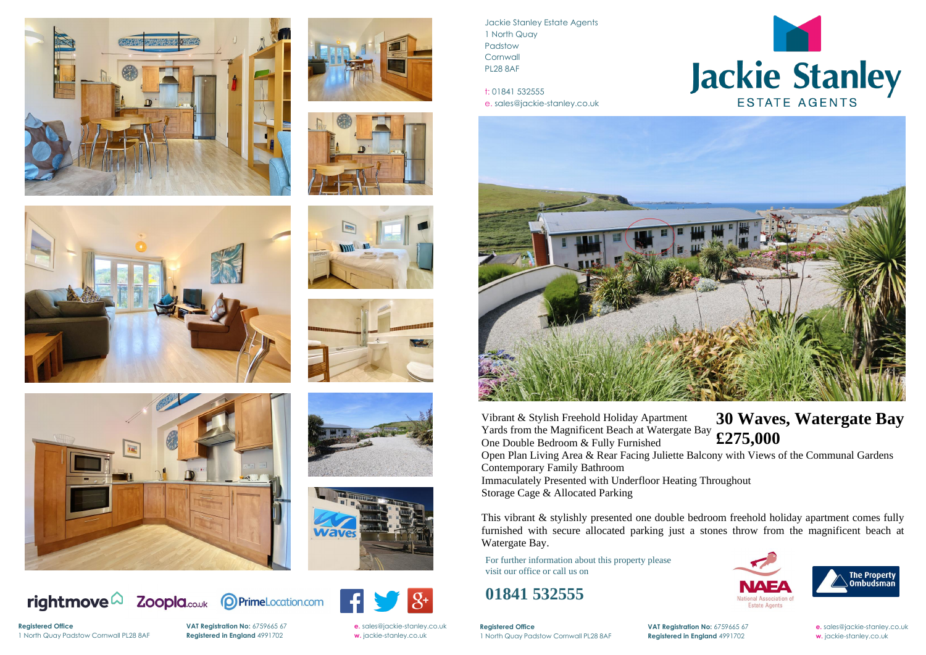

















rightmove $\Omega$ 





Jackie Stanley Estate Agents 1 North Quay Padstow **Cornwall** PL28 8AF

t: 01841 532555 e. sales@jackie-stanley.co.uk



**Registered Office VAT Registration No:** 6759665 67 **e.** [sales@jackie-stanley.co.uk](mailto:sales@jackie-stanley.co.uk) 1 North Quay Padstow Cornwall PL28 8AF **Registered in England** 4991702 **w.** jackie-stanley.co.uk

For further information about this property please visit our office or call us on

### **01841 532555**

This vibrant & stylishly presented one double bedroom freehold holiday apartment comes fully furnished with secure allocated parking just a stones throw from the magnificent beach at Watergate Bay.

Vibrant & Stylish Freehold Holiday Apartment Yards from the Magnificent Beach at Watergate Bay One Double Bedroom & Fully Furnished **£275,000** Open Plan Living Area & Rear Facing Juliette Balcony with Views of the Communal Gardens Contemporary Family Bathroom Immaculately Presented with Underfloor Heating Throughout Storage Cage & Allocated Parking

**Registered Office** 1 North Quay Padstow Cornwall PL28 8AF **Registered in England** 4991702 **w.** jackie-stanley.co.uk

**VAT Registration No:** 6759665 67 **e.** [sales@jackie-stanley.co.uk](mailto:sales@jackie-stanley.co.uk)



# **30 Waves, Watergate Bay**